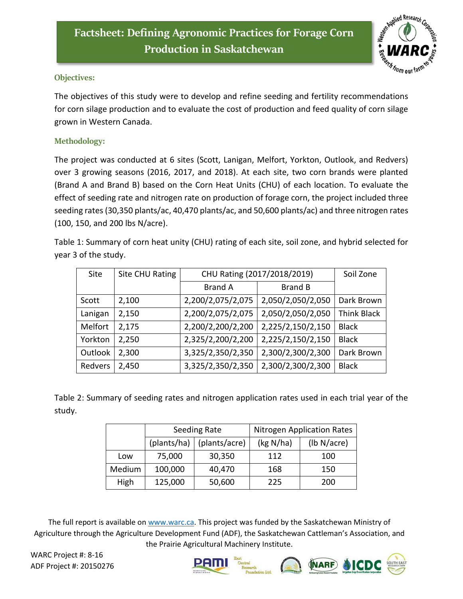

## **Objectives:**

The objectives of this study were to develop and refine seeding and fertility recommendations for corn silage production and to evaluate the cost of production and feed quality of corn silage grown in Western Canada.

## **Methodology:**

The project was conducted at 6 sites (Scott, Lanigan, Melfort, Yorkton, Outlook, and Redvers) over 3 growing seasons (2016, 2017, and 2018). At each site, two corn brands were planted (Brand A and Brand B) based on the Corn Heat Units (CHU) of each location. To evaluate the effect of seeding rate and nitrogen rate on production of forage corn, the project included three seeding rates (30,350 plants/ac, 40,470 plants/ac, and 50,600 plants/ac) and three nitrogen rates (100, 150, and 200 lbs N/acre).

Table 1: Summary of corn heat unity (CHU) rating of each site, soil zone, and hybrid selected for year 3 of the study.

| Site    | Site CHU Rating | CHU Rating (2017/2018/2019) |                   | Soil Zone          |
|---------|-----------------|-----------------------------|-------------------|--------------------|
|         |                 | <b>Brand A</b>              | <b>Brand B</b>    |                    |
| Scott   | 2,100           | 2,200/2,075/2,075           | 2,050/2,050/2,050 | Dark Brown         |
| Lanigan | 2,150           | 2,200/2,075/2,075           | 2,050/2,050/2,050 | <b>Think Black</b> |
| Melfort | 2,175           | 2,200/2,200/2,200           | 2,225/2,150/2,150 | <b>Black</b>       |
| Yorkton | 2,250           | 2,325/2,200/2,200           | 2,225/2,150/2,150 | <b>Black</b>       |
| Outlook | 2,300           | 3,325/2,350/2,350           | 2,300/2,300/2,300 | Dark Brown         |
| Redvers | 2,450           | 3,325/2,350/2,350           | 2,300/2,300/2,300 | <b>Black</b>       |

Table 2: Summary of seeding rates and nitrogen application rates used in each trial year of the study.

|        | Seeding Rate |               | <b>Nitrogen Application Rates</b> |             |
|--------|--------------|---------------|-----------------------------------|-------------|
|        | (plants/ha)  | (plants/acre) | (kg N/ha)                         | (lb N/acre) |
| Low    | 75,000       | 30,350        | 112                               | 100         |
| Medium | 100,000      | 40,470        | 168                               | 150         |
| High   | 125,000      | 50,600        | 225                               | 200         |

The full report is available on [www.warc.ca.](http://www.warc.ca/) This project was funded by the Saskatchewan Ministry of Agriculture through the Agriculture Development Fund (ADF), the Saskatchewan Cattleman's Association, and the Prairie Agricultural Machinery Institute.

WARC Project #: 8-16 ADF Project #: 20150276

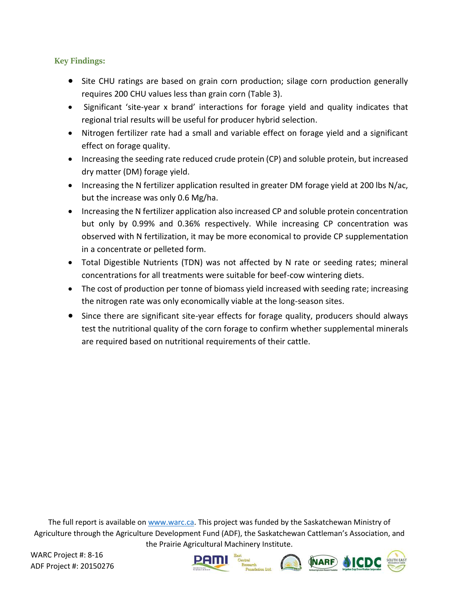## **Key Findings:**

- Site CHU ratings are based on grain corn production; silage corn production generally requires 200 CHU values less than grain corn (Table 3).
- Significant 'site-year x brand' interactions for forage yield and quality indicates that regional trial results will be useful for producer hybrid selection.
- Nitrogen fertilizer rate had a small and variable effect on forage yield and a significant effect on forage quality.
- Increasing the seeding rate reduced crude protein (CP) and soluble protein, but increased dry matter (DM) forage yield.
- Increasing the N fertilizer application resulted in greater DM forage yield at 200 lbs N/ac, but the increase was only 0.6 Mg/ha.
- Increasing the N fertilizer application also increased CP and soluble protein concentration but only by 0.99% and 0.36% respectively. While increasing CP concentration was observed with N fertilization, it may be more economical to provide CP supplementation in a concentrate or pelleted form.
- Total Digestible Nutrients (TDN) was not affected by N rate or seeding rates; mineral concentrations for all treatments were suitable for beef-cow wintering diets.
- The cost of production per tonne of biomass yield increased with seeding rate; increasing the nitrogen rate was only economically viable at the long-season sites.
- Since there are significant site-year effects for forage quality, producers should always test the nutritional quality of the corn forage to confirm whether supplemental minerals are required based on nutritional requirements of their cattle.

The full report is available on [www.warc.ca.](http://www.warc.ca/) This project was funded by the Saskatchewan Ministry of Agriculture through the Agriculture Development Fund (ADF), the Saskatchewan Cattleman's Association, and the Prairie Agricultural Machinery Institute.

WARC Project #: 8-16 ADF Project #: 20150276